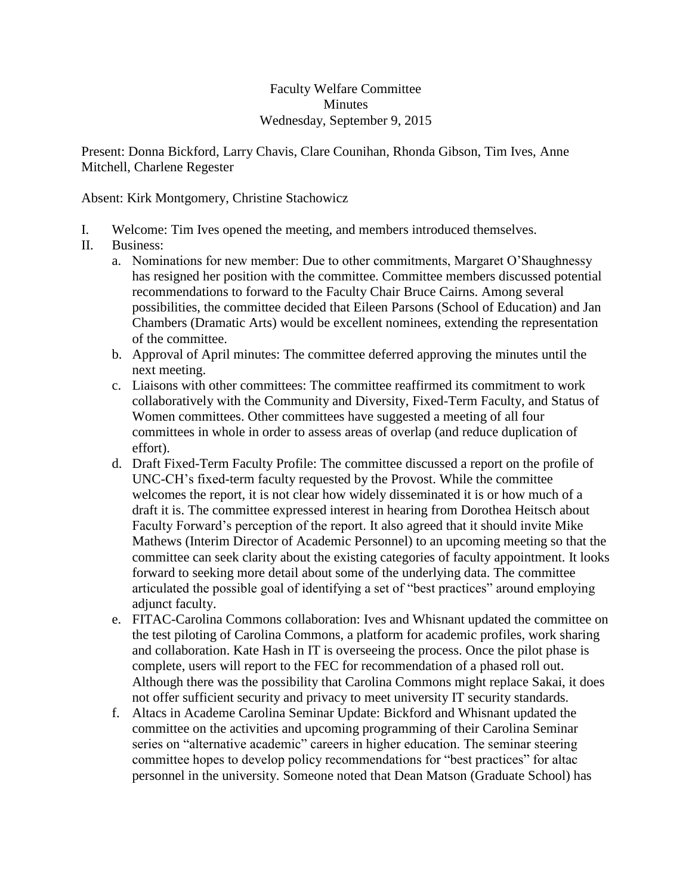## Faculty Welfare Committee **Minutes** Wednesday, September 9, 2015

Present: Donna Bickford, Larry Chavis, Clare Counihan, Rhonda Gibson, Tim Ives, Anne Mitchell, Charlene Regester

Absent: Kirk Montgomery, Christine Stachowicz

- I. Welcome: Tim Ives opened the meeting, and members introduced themselves.
- II. Business:
	- a. Nominations for new member: Due to other commitments, Margaret O'Shaughnessy has resigned her position with the committee. Committee members discussed potential recommendations to forward to the Faculty Chair Bruce Cairns. Among several possibilities, the committee decided that Eileen Parsons (School of Education) and Jan Chambers (Dramatic Arts) would be excellent nominees, extending the representation of the committee.
	- b. Approval of April minutes: The committee deferred approving the minutes until the next meeting.
	- c. Liaisons with other committees: The committee reaffirmed its commitment to work collaboratively with the Community and Diversity, Fixed-Term Faculty, and Status of Women committees. Other committees have suggested a meeting of all four committees in whole in order to assess areas of overlap (and reduce duplication of effort).
	- d. Draft Fixed-Term Faculty Profile: The committee discussed a report on the profile of UNC-CH's fixed-term faculty requested by the Provost. While the committee welcomes the report, it is not clear how widely disseminated it is or how much of a draft it is. The committee expressed interest in hearing from Dorothea Heitsch about Faculty Forward's perception of the report. It also agreed that it should invite Mike Mathews (Interim Director of Academic Personnel) to an upcoming meeting so that the committee can seek clarity about the existing categories of faculty appointment. It looks forward to seeking more detail about some of the underlying data. The committee articulated the possible goal of identifying a set of "best practices" around employing adjunct faculty.
	- e. FITAC-Carolina Commons collaboration: Ives and Whisnant updated the committee on the test piloting of Carolina Commons, a platform for academic profiles, work sharing and collaboration. Kate Hash in IT is overseeing the process. Once the pilot phase is complete, users will report to the FEC for recommendation of a phased roll out. Although there was the possibility that Carolina Commons might replace Sakai, it does not offer sufficient security and privacy to meet university IT security standards.
	- f. Altacs in Academe Carolina Seminar Update: Bickford and Whisnant updated the committee on the activities and upcoming programming of their Carolina Seminar series on "alternative academic" careers in higher education. The seminar steering committee hopes to develop policy recommendations for "best practices" for altac personnel in the university. Someone noted that Dean Matson (Graduate School) has